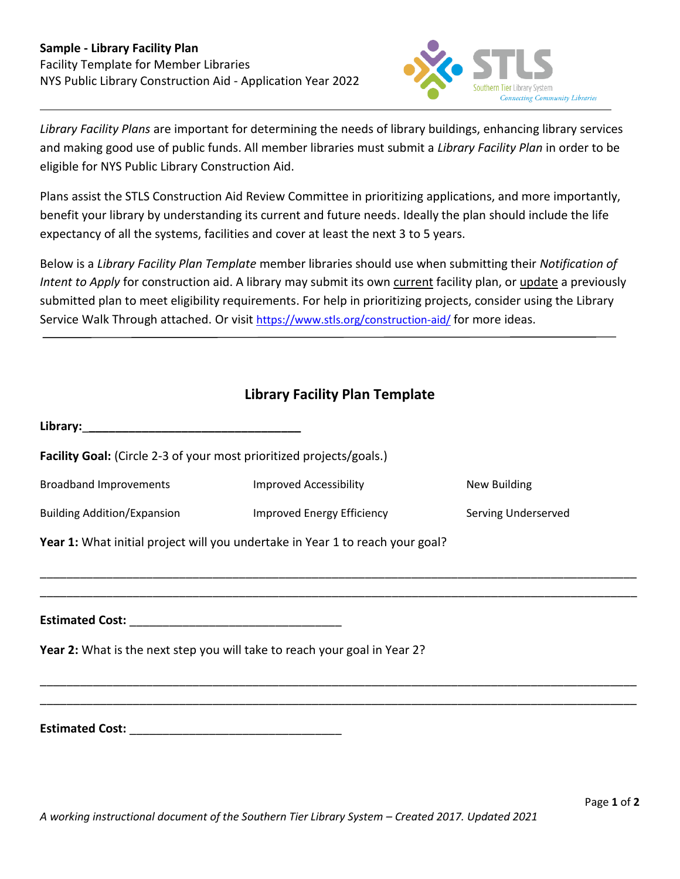

*Library Facility Plans* are important for determining the needs of library buildings, enhancing library services and making good use of public funds. All member libraries must submit a *Library Facility Plan* in order to be eligible for NYS Public Library Construction Aid.

Plans assist the STLS Construction Aid Review Committee in prioritizing applications, and more importantly, benefit your library by understanding its current and future needs. Ideally the plan should include the life expectancy of all the systems, facilities and cover at least the next 3 to 5 years.

Below is a *Library Facility Plan Template* member libraries should use when submitting their *Notification of Intent to Apply* for construction aid. A library may submit its own current facility plan, or update a previously submitted plan to meet eligibility requirements. For help in prioritizing projects, consider using the Library Service Walk Through attached. Or visit <https://www.stls.org/construction-aid/> for more ideas.

## **Library Facility Plan Template**

| Facility Goal: (Circle 2-3 of your most prioritized projects/goals.)          |                               |                     |
|-------------------------------------------------------------------------------|-------------------------------|---------------------|
| <b>Broadband Improvements</b>                                                 | <b>Improved Accessibility</b> | New Building        |
| <b>Building Addition/Expansion</b>                                            | Improved Energy Efficiency    | Serving Underserved |
| Year 1: What initial project will you undertake in Year 1 to reach your goal? |                               |                     |
|                                                                               |                               |                     |
|                                                                               |                               |                     |
|                                                                               |                               |                     |
| Year 2: What is the next step you will take to reach your goal in Year 2?     |                               |                     |
|                                                                               |                               |                     |
|                                                                               |                               |                     |
|                                                                               |                               |                     |